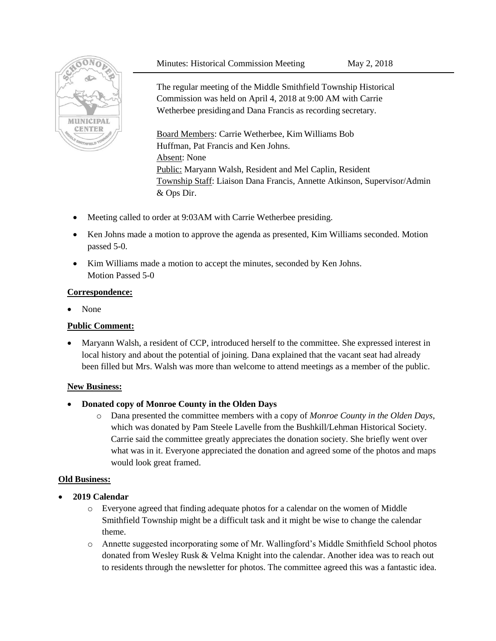#### Minutes: Historical Commission Meeting May 2, 2018



The regular meeting of the Middle Smithfield Township Historical Commission was held on April 4, 2018 at 9:00 AM with Carrie Wetherbee presidingand Dana Francis as recording secretary.

Board Members: Carrie Wetherbee, Kim Williams Bob Huffman, Pat Francis and Ken Johns. Absent: None Public: Maryann Walsh, Resident and Mel Caplin, Resident Township Staff: Liaison Dana Francis, Annette Atkinson, Supervisor/Admin & Ops Dir.

- Meeting called to order at 9:03AM with Carrie Wetherbee presiding.
- Ken Johns made a motion to approve the agenda as presented, Kim Williams seconded. Motion passed 5-0.
- Kim Williams made a motion to accept the minutes, seconded by Ken Johns. Motion Passed 5-0

### **Correspondence:**

• None

### **Public Comment:**

 Maryann Walsh, a resident of CCP, introduced herself to the committee. She expressed interest in local history and about the potential of joining. Dana explained that the vacant seat had already been filled but Mrs. Walsh was more than welcome to attend meetings as a member of the public.

### **New Business:**

- **Donated copy of Monroe County in the Olden Days**
	- o Dana presented the committee members with a copy of *Monroe County in the Olden Days*, which was donated by Pam Steele Lavelle from the Bushkill/Lehman Historical Society. Carrie said the committee greatly appreciates the donation society. She briefly went over what was in it. Everyone appreciated the donation and agreed some of the photos and maps would look great framed.

### **Old Business:**

- **2019 Calendar**
	- o Everyone agreed that finding adequate photos for a calendar on the women of Middle Smithfield Township might be a difficult task and it might be wise to change the calendar theme.
	- o Annette suggested incorporating some of Mr. Wallingford's Middle Smithfield School photos donated from Wesley Rusk & Velma Knight into the calendar. Another idea was to reach out to residents through the newsletter for photos. The committee agreed this was a fantastic idea.